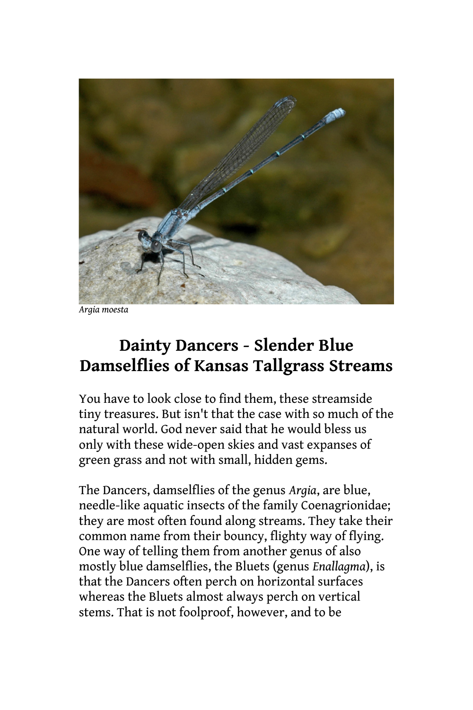

*Argia moesta*

## **Dainty Dancers - Slender Blue Damselflies of Kansas Tallgrass Streams**

You have to look close to find them, these streamside tiny treasures. But isn't that the case with so much of the natural world. God never said that he would bless us only with these wide-open skies and vast expanses of green grass and not with small, hidden gems.

The Dancers, damselflies of the genus *Argia*, are blue, needle-like aquatic insects of the family Coenagrionidae; they are most often found along streams. They take their common name from their bouncy, flighty way of flying. One way of telling them from another genus of also mostly blue damselflies, the Bluets (genus *Enallagma*), is that the Dancers often perch on horizontal surfaces whereas the Bluets almost always perch on vertical stems. That is not foolproof, however, and to be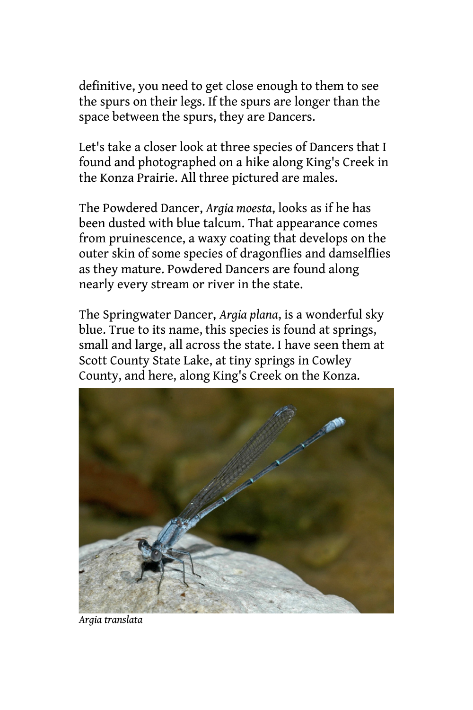definitive, you need to get close enough to them to see the spurs on their legs. If the spurs are longer than the space between the spurs, they are Dancers.

Let's take a closer look at three species of Dancers that I found and photographed on a hike along King's Creek in the Konza Prairie. All three pictured are males.

The Powdered Dancer, *Argia moesta*, looks as if he has been dusted with blue talcum. That appearance comes from pruinescence, a waxy coating that develops on the outer skin of some species of dragonflies and damselflies as they mature. Powdered Dancers are found along nearly every stream or river in the state.

The Springwater Dancer, *Argia plana*, is a wonderful sky blue. True to its name, this species is found at springs, small and large, all across the state. I have seen them at Scott County State Lake, at tiny springs in Cowley County, and here, along King's Creek on the Konza.



*Argia translata*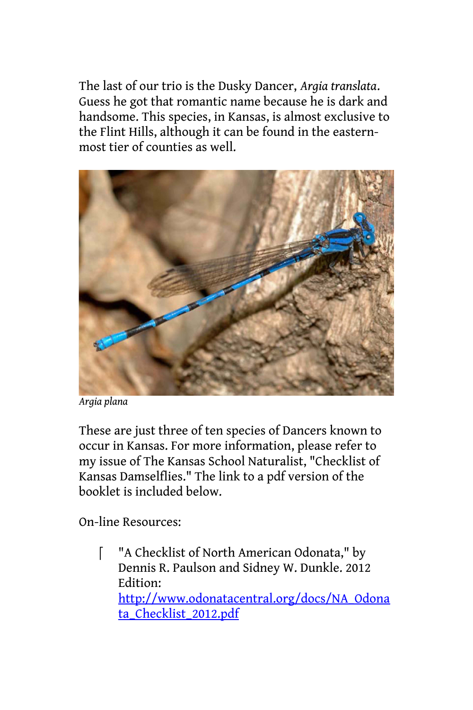The last of our trio is the Dusky Dancer, *Argia translata*. Guess he got that romantic name because he is dark and handsome. This species, in Kansas, is almost exclusive to the Flint Hills, although it can be found in the easternmost tier of counties as well.



*Argia plana*

These are just three of ten species of Dancers known to occur in Kansas. For more information, please refer to my issue of The Kansas School Naturalist, "Checklist of Kansas Damselflies." The link to a pdf version of the booklet is included below.

On-line Resources:

 "A Checklist of North American Odonata," by Dennis R. Paulson and Sidney W. Dunkle. 2012 Edition: [http://www.odonatacentral.org/docs/NA\\_Odona](http://www.odonatacentral.org/docs/NA_Odonata_Checklist_2012.pdf) ta Checklist 2012.pdf